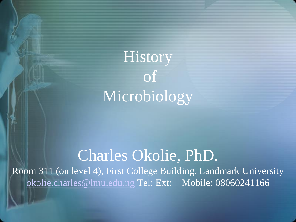

### Charles Okolie, PhD.

Room 311 (on level 4), First College Building, Landmark University [okolie.charles@lmu.edu.ng](mailto:okolie.charles@lmu.edu.ng) Tel: Ext: Mobile: 08060241166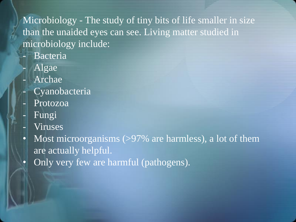#### Microbiology - The study of tiny bits of life smaller in size than the unaided eyes can see. Living matter studied in microbiology include:

- **Bacteria**
- Algae
- Archae
	- Cyanobacteria
- Protozoa
- Fungi
- **Viruses**
- Most microorganisms (>97% are harmless), a lot of them are actually helpful.
- Only very few are harmful (pathogens).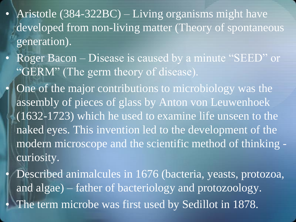- Aristotle (384-322BC) Living organisms might have developed from non-living matter (Theory of spontaneous generation).
- Roger Bacon Disease is caused by a minute "SEED" or "GERM" (The germ theory of disease).
	- One of the major contributions to microbiology was the assembly of pieces of glass by Anton von Leuwenhoek (1632-1723) which he used to examine life unseen to the naked eyes. This invention led to the development of the modern microscope and the scientific method of thinking curiosity.
	- Described animalcules in 1676 (bacteria, yeasts, protozoa, and algae) – father of bacteriology and protozoology. The term microbe was first used by Sedillot in 1878.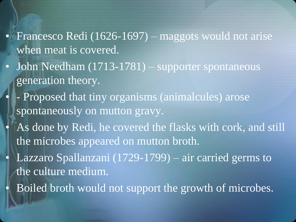#### • Francesco Redi (1626-1697) – maggots would not arise when meat is covered.

- John Needham (1713-1781) supporter spontaneous generation theory.
	- - Proposed that tiny organisms (animalcules) arose spontaneously on mutton gravy.
	- As done by Redi, he covered the flasks with cork, and still the microbes appeared on mutton broth.
	- Lazzaro Spallanzani (1729-1799) air carried germs to the culture medium.
	- Boiled broth would not support the growth of microbes.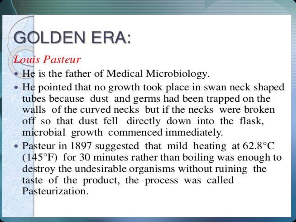# **GOLDEN ERA:**

#### Louis Pasteur

- He is the father of Medical Microbiology.
- He pointed that no growth took place in swan neck shaped tubes because dust and germs had been trapped on the walls of the curved necks but if the necks were broken off so that dust fell directly down into the flask, microbial growth commenced immediately.
- Pasteur in 1897 suggested that mild heating at  $62.8^{\circ}$ C  $(145^{\circ}F)$  for 30 minutes rather than boiling was enough to destroy the undesirable organisms without ruining the taste of the product, the process was called Pasteurization.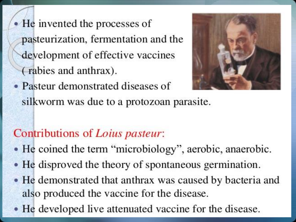• He invented the processes of pasteurization, fermentation and the development of effective vaccines (rabies and anthrax).



• Pasteur demonstrated diseases of silkworm was due to a protozoan parasite.

#### Contributions of Loius pasteur:

- He coined the term "microbiology", aerobic, anaerobic.
- He disproved the theory of spontaneous germination.
- He demonstrated that anthrax was caused by bacteria and also produced the vaccine for the disease.
- He developed live attenuated vaccine for the disease.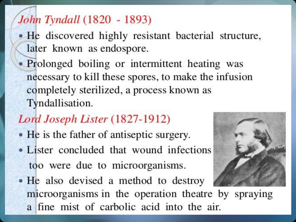#### John Tyndall (1820 - 1893)

- He discovered highly resistant bacterial structure, later known as endospore.
- Prolonged boiling or intermittent heating was necessary to kill these spores, to make the infusion completely sterilized, a process known as Tyndallisation.

#### Lord Joseph Lister (1827-1912)

- He is the father of antiseptic surgery.
- Lister concluded that wound infections too were due to microorganisms.
- He also devised a method to destroy microorganisms in the operation theatre by spraying a fine mist of carbolic acid into the air.

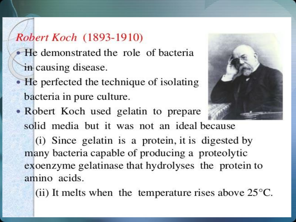### Robert Koch (1893-1910)

- He demonstrated the role of bacteria in causing disease.
- He perfected the technique of isolating bacteria in pure culture.
- Robert Koch used gelatin to prepare

solid media but it was not an ideal because

(i) Since gelatin is a protein, it is digested by many bacteria capable of producing a proteolytic exoenzyme gelatinase that hydrolyses the protein to amino acids.

(ii) It melts when the temperature rises above  $25^{\circ}$ C.

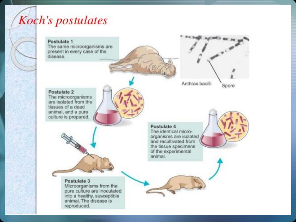

#### Postulate 4 The identical microorganisms are isolated and recultivated from the tissue specimens of the experimental animal. Postulate 3 Microorganisms from the pure culture are inoculated into a healthy, susceptible animal. The disease is reproduced.





Postulate 2 The microorganisms

are isolated from the tissues of a dead animal, and a pure culture is prepared.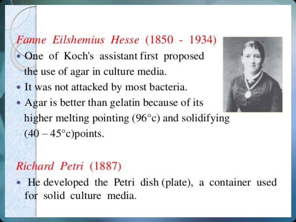### Fanne Eilshemius Hesse (1850 - 1934) • One of Koch's assistant first proposed the use of agar in culture media.

- It was not attacked by most bacteria.
- Agar is better than gelatin because of its higher melting pointing  $(96^{\circ}c)$  and solidifying  $(40-45^{\circ}c)$  points.

#### Richard Petri (1887)

He developed the Petri dish (plate), a container used for solid culture media.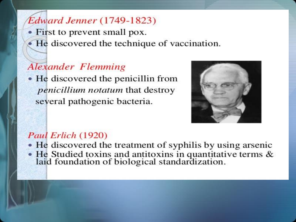#### **Edward Jenner** (1749-1823)

- First to prevent small pox.
	- He discovered the technique of vaccination.

#### **Alexander Flemming**

• He discovered the penicillin from *penicillium notatum* that destroy several pathogenic bacteria.



#### Paul Erlich (1920)

- He discovered the treatment of syphilis by using arsenic
- He Studied toxins and antitoxins in quantitative terms & laid foundation of biological standardization.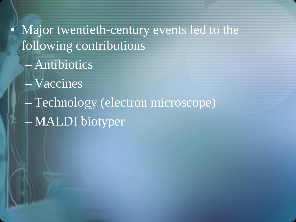• Major twentieth-century events led to the following contributions – Antibiotics – Vaccines – Technology (electron microscope) – MALDI biotyper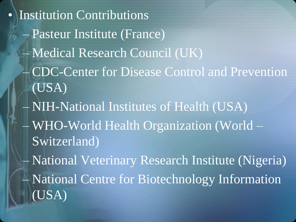• Institution Contributions – Pasteur Institute (France) – Medical Research Council (UK) – CDC-Center for Disease Control and Prevention (USA) – NIH-National Institutes of Health (USA) – WHO-World Health Organization (World – Switzerland) – National Veterinary Research Institute (Nigeria) – National Centre for Biotechnology Information (USA)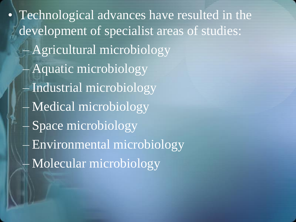• Technological advances have resulted in the development of specialist areas of studies: – Agricultural microbiology – Aquatic microbiology – Industrial microbiology – Medical microbiology – Space microbiology – Environmental microbiology – Molecular microbiology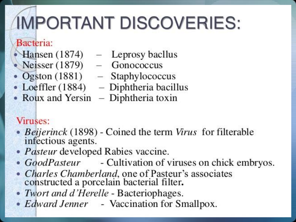# **IMPORTANT DISCOVERIES:**

#### Bacteria:

- 
- Neisser  $(1879)$  Gonococcus
- Ogston (1881) Staphylococcus
- 
- Roux and Yersin  $-$  Diphtheria toxin
- Hansen  $(1874)$  Leprosy bacllus
	- -
- Loeffler  $(1884)$  Diphtheria bacillus
	-

#### Viruses:

- Beijerinck (1898) Coined the term Virus for filterable infectious agents.
- *Pasteur* developed Rabies vaccine.
- GoodPasteur Cultivation of viruses on chick embryos.
- Charles Chamberland, one of Pasteur's associates<br>constructed a porcelain bacterial filter.
- Twort and d'Herelle Bacteriophages.
- *Edward Jenner* Vaccination for Smallpox.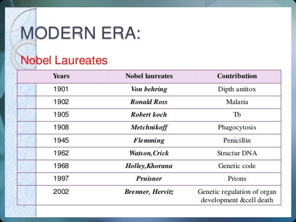# **MODERN ERA:**

#### **Nobel Laureates**

| <b>Years</b> | <b>Nobel laureates</b>   | <b>Contribution</b>                                    |
|--------------|--------------------------|--------------------------------------------------------|
| 1901         | Von behring              | Dipth antitox                                          |
| 1902         | <b>Ronald Ross</b>       | Malaria                                                |
| 1905         | Robert koch              | TЪ                                                     |
| 1908         | Metchnikoff              | Phagocytosis                                           |
| 1945         | <b>Flemming</b>          | Penicillin                                             |
| 1962         | <b>Watson, Crick</b>     | Structur DNA                                           |
| 1968         | Holley, Khorana          | Genetic code                                           |
| 1997         | <b>Pruisner</b>          | Prions                                                 |
| 2002         | <b>Brenner</b> , Hervitz | Genetic regulation of organ<br>development &cell death |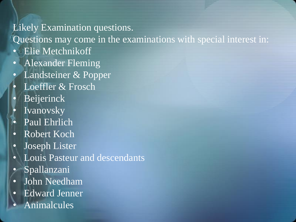#### Likely Examination questions.

Questions may come in the examinations with special interest in:

- Elie Metchnikoff
- Alexander Fleming
- Landsteiner & Popper
- Loeffler & Frosch
- **Beijerinck**
- **Ivanovsky**
- Paul Ehrlich
- Robert Koch
- Joseph Lister
- Louis Pasteur and descendants
- Spallanzani
- John Needham
- Edward Jenner
- Animalcules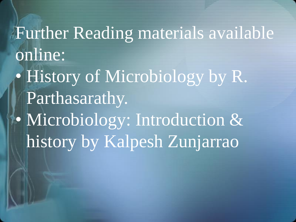## Further Reading materials available online:

• History of Microbiology by R. Parthasarathy. • Microbiology: Introduction & history by Kalpesh Zunjarrao